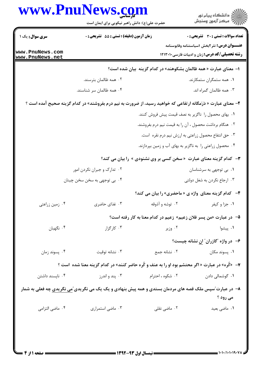|                                    | www.PnuNews.com<br>حضرت علی(ع): دانش راهبر نیکویی برای ایمان است                                                      |                  | ڪ دانشڪاه پيام نور<br>/7 مرڪز آزمون وسنڊش                         |  |
|------------------------------------|-----------------------------------------------------------------------------------------------------------------------|------------------|-------------------------------------------------------------------|--|
| سری سوال: یک ۱                     | زمان آزمون (دقیقه) : تستی : 55 آتشریحی : 0                                                                            |                  | <b>تعداد سوالات : تستي : 30 ٪ تشريحي : 0</b>                      |  |
|                                    |                                                                                                                       |                  | <b>عنـــوان درس:</b> نثر ۲بخش ۱سیاستنامه وقابوسنامه               |  |
| www.PnuNews.com<br>www.PnuNews.net |                                                                                                                       |                  | <b>رشته تحصیلی/کد درس:</b> زبان و ادبیات فارسی ۱۲۱۳۰۱۰            |  |
|                                    |                                                                                                                       |                  | ا– معنای عبارت « همه ظالمان بشکوهند» در کدام گزینه بیان شده است؟  |  |
|                                    | ۰۲ همه ظالمان بترسند.                                                                                                 |                  | ۰۱ همه ستمگران ستمکارند.                                          |  |
|                                    | ۰۴ همه ظالمان سر شناسند.                                                                                              |                  | ۰۳ همه ظالمان گمراه اند.                                          |  |
|                                    | <b>۲</b> - معنای عبارت « دَرَمگانه ارتفاعی که خواهید رسید، از ضرورت به نیم درم بفروشند» در کدام گزینه صحیح آمده است ؟ |                  |                                                                   |  |
|                                    |                                                                                                                       |                  | ١. بهای محصول را ناگزیر به نصف قیمت پیش فروش کنند.                |  |
|                                    |                                                                                                                       |                  | ۰۲ هنگام برداشت محصول ، آن را به قیمت نیم درم بفروشند.            |  |
|                                    |                                                                                                                       |                  | ۰۳ حق انتفاع محصول زراعتی به ارزش نیم درم نقره است.               |  |
|                                    |                                                                                                                       |                  | ۰۴ محصول زراعتی را به ناگزیر به بهای آب و زمین بپردازند.          |  |
|                                    | <b>۳</b> - کدام گزینه معنای عبارت «سخن کسی بر وی نشنودی » را بیان می کند؟                                             |                  |                                                                   |  |
| ۰۲ تدارک و جبران نکردن امور        |                                                                                                                       |                  | ۰۱ بی توجهی به سرشناسان                                           |  |
| ۰۴ بي توجهي به سخن سخن چينان       |                                                                                                                       |                  | ۰۳ ارجاع نکردن به شغل دولتی                                       |  |
|                                    |                                                                                                                       |                  | ۴- کدام گزینه معنای واژه ی « ماحضری» را بیان می کند؟              |  |
| ۰۴ زمین زراعتی                     | ۰۳ غذای حاضری                                                                                                         | ۰۲ توشه و آذوقه  | ۰۱ جزا و کیفر                                                     |  |
|                                    |                                                                                                                       |                  | ۵– در عبارت «من پسر فلان زعیم» زعیم در کدام معنا به کار رفته است؟ |  |
| ۰۴ نگهبان                          | ۰۳ کارگزار                                                                                                            | ۰۲ وزیر          | ۰۱ پیشوا                                                          |  |
|                                    |                                                                                                                       |                  | ۶- در واژه "گازران" ان نشانه چیست؟                                |  |
| ۰۴ پسوند زمان                      | ۰۳ نشانه توقیت                                                                                                        | ٠٢ نشانه جمع     | ۰۱ پسوند مکان                                                     |  |
|                                    | ۷- «کُره» در عبارت « اگر محتشم بود او را به عنف و کُره حاضر کنند» در کدام گزینه معنا شده  است ؟                       |                  |                                                                   |  |
| ۰۴ ناپسند داشتن                    | ۰۳ پند و اندرز                                                                                                        | ۰۲ شکوه ، احترام | ۰۱ گوشمالی دادن                                                   |  |
|                                    | ۸− در عبارت ّسپس ملک قصه های مردمان بستدی و همه پیش بنهادی و یک یک می نگریدی ّ <u>می نگریدی</u> چه فعلی به شمار       |                  |                                                                   |  |
|                                    |                                                                                                                       |                  | می رود ؟                                                          |  |
| ۰۴ ماضی التزامی                    | ۰۳ ماضي استمراري                                                                                                      | ۰۲ ماضی نقلی     | ٠١ ماضي بعيد                                                      |  |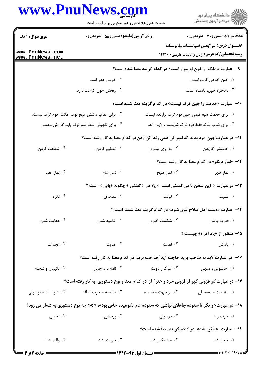|                                                   | حضرت علی(ع): دانش راهبر نیکویی برای ایمان است |                    | ر<br>دانشڪاه پيام نور)<br>اڳ مرڪز آزمون وسنڊش                                                                |
|---------------------------------------------------|-----------------------------------------------|--------------------|--------------------------------------------------------------------------------------------------------------|
| <b>سری سوال :</b> ۱ یک                            | زمان آزمون (دقیقه) : تستی : 55 آتشریحی : 0    |                    | تعداد سوالات : تستى : 30 - تشريحي : 0                                                                        |
| www.PnuNews.com<br>www.PnuNews.net                |                                               |                    | <b>عنـــوان درس:</b> نثر ۲بخش ۱سیاستنامه وقابوسنامه<br><b>رشته تحصیلی/کد درس:</b> زبان و ادبیات فارسی1۲۱۳۰۱۰ |
|                                                   |                                               |                    | ۹- عبارت « ملک از خون او بیزار است» در کدام گزینه معنا شده است؟                                              |
|                                                   | ۰۲ خونش هدر است.                              |                    | ۰۱ خون خواهی کرده است.                                                                                       |
|                                                   | ۰۴ ریختن خون کراهت دارد.                      |                    | ۰۳ دادخواه خون، پادشاه است.                                                                                  |
|                                                   |                                               |                    | <b>۰۱- عبارت «خدمت را چون ترک نیست» در کدام گزینه معنا شده است؟</b>                                          |
| ۰۲ برای مقرّب داشتن هیچ قومی مانند  قوم ترک نیست. |                                               |                    | ۰۱ برای خدمت هیچ قومی چون قوم ترک برازنده نیست.                                                              |
|                                                   | ۰۴ برای نگهبانی فقط قوم ترک باید گزارش دهند.  |                    | ۰۳ برای ضرب سکه فقط قوم ترک شایسته و لایق اند.                                                               |
|                                                   |                                               |                    | اا− در عبارت ؒچون مرد بدید که امیر تن همی زند ؒ <u>تن زدن</u> در کدام معنا به کار رفته است؟                  |
| ۰۴ شفاعت کردن                                     | ۰۳ تعظیم کردن                                 | ۰۲ به روی نیاوردن  | ۰۱ خاموشی گزیدن                                                                                              |
|                                                   |                                               |                    | ۱۲- «نماز دیگر» در کدام معنا به کار رفته است؟                                                                |
| ۰۴ نماز عصر                                       | ۰۳ نماز شام                                   | ۰۲ نماز صبح        | ۰۱ نماز ظهر                                                                                                  |
|                                                   |                                               |                    | ۱۳- در عبارت « این سخن با من گفتنی است  » یاء در « گفتنی » چگونه «یائی » است ؟                               |
| ۰۴ نکره                                           | ۰۳ مصدری                                      | ۰۲ لیاقت           | ۰۱ نسبت                                                                                                      |
|                                                   |                                               |                    | <b>۱۴</b> - عبارت «دست اهل صلاح قوی شود» در کدام گزینه معنا شده است ؟                                        |
| ۰۴ هدایت شدن                                      | ۰۳ ناامید شدن                                 | ۰۲ شکست خوردن      | ۰۱ قدرت یافتن                                                                                                |
|                                                   |                                               |                    | <b>۱۵</b> - منظور از «پاد افراه» چیست ؟                                                                      |
| ۰۴ مجازات                                         | ۰۳ عنایت                                      | ٢. نعمت            | ۰۱ پاداش                                                                                                     |
|                                                   |                                               |                    | ۱۶– در عبارت"لابد به صاحب برید حاجت آید" صا حب برید در کدام معنا به کار رفته است؟                            |
| ۰۴ نگهبان و شحنه                                  | ۰۳ نامه بر و چاپار                            | ۰۲ کارگزار دولت    | ۰۱ جاسوس و منهی                                                                                              |
|                                                   |                                               |                    | ۱۷– در عبارت ّدر فزونی گهر از فزونی خرد و هنر ّ <u>از</u> در کدام معنا و نوع دستوری  به کار رفته است؟        |
| ۰۴ به وسیله - موصولی                              | ۰۳ مقايسه - حرف اضافه                         | ٠٢ از جهت - سببيّه | ۰۱ به علت – تفضیلی                                                                                           |
|                                                   |                                               |                    | ۱۸– در عبارت« و نگر تا ستوده جاهلان نباشی که ستودهٔ عام نکوهیده خاص بود»، «که» چه نوع دستوری به شمار می رود؟ |
| ۰۴ تعلیلی                                         | ۰۳ پرسشی                                      | ۰۲ موصولی          | ۰۱ حرف ربط                                                                                                   |
|                                                   |                                               |                    | 1۹- عبارت «طیّره شد» در کدام گزینه معنا شده است؟                                                             |
|                                                   |                                               |                    |                                                                                                              |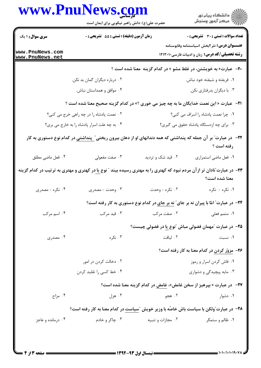|                                          | حضرت علی(ع): دانش راهبر نیکویی برای ایمان است                                                                                               |                   | ڪ دانشڪاه پيا <sub>م</sub> نور<br><mark>ر</mark> ⊽ مرڪز آزمون وسنڊش                                          |  |
|------------------------------------------|---------------------------------------------------------------------------------------------------------------------------------------------|-------------------|--------------------------------------------------------------------------------------------------------------|--|
| <b>سری سوال : ۱ یک</b>                   | زمان آزمون (دقیقه) : تستی : 55 آتشریحی : 0                                                                                                  |                   | <b>تعداد سوالات : تستی : 30 ٪ تشریحی : 0</b>                                                                 |  |
| www.PnuNews.com<br>www.PnuNews.net       |                                                                                                                                             |                   | <b>عنـــوان درس:</b> نثر ۲بخش ۱سیاستنامه وقابوسنامه<br><b>رشته تحصیلی/کد درس:</b> زبان و ادبیات فارسی1۲۱۳۰۱۰ |  |
|                                          |                                                                                                                                             |                   | <b>۰۲-</b> عبارت« به خویشتن، در غلط مشو » در کدام گزینه معنا شده است ؟                                       |  |
|                                          | ۰۲ درباره دیگران گمان بد نکن.                                                                                                               |                   | ٠١ فريفته و شيفته خود نباش.                                                                                  |  |
|                                          | ۰۴ موافق و همداستان نباش.                                                                                                                   |                   | ۰۳ با دیگران بدرفتاری نکن.                                                                                   |  |
|                                          | <b>۲۱</b> - عبارت « این نعمت خدایگان ما به چه چیز می خوری ؟» در کدام گزینه صحیح معنا شده است ؟                                              |                   |                                                                                                              |  |
| ٠٢ نعمت پادشاه را در چه راهي خرج مي كني؟ |                                                                                                                                             |                   | ٠. چرا نعمت پادشاه را اسراف مي كني؟                                                                          |  |
|                                          | ۰۴ به چه علت اسرار پادشاه را به خارج می بری؟                                                                                                |                   | ۰۳ برای چه ازدستگاه پادشاه حقوق می گیری؟                                                                     |  |
|                                          | <mark>۲۲</mark> - در عبارت <i>"</i> بر آن جمله که پنداشتی که همه دندانهای او از دهان بیرون ریختی <u>" پنداشتی</u> در کدام نوع دستوری به کار |                   | رفته است ؟                                                                                                   |  |
| ۰۴ فعل ماضي مطلق                         | ۰۳ صفت مفعولی                                                                                                                               | ۰۲ قید شک و تردید | ٠١ فعل ماضي استمراري                                                                                         |  |
|                                          | <b>۲۳</b> - در عبارت ّنادان تر از آن مردم نبود که کهتری را به مهتری رسیده بیند ″ نوع <u>با</u> در کهتری و مهتری به ترتیب در کدام گزینه      |                   | معنا شده است؟                                                                                                |  |
| ۰۴ نکره - مصدری                          | ۰۳ وحدت - مصدری                                                                                                                             | ۰۲ نکره - وحدت    | ۰۱ نکره - نکره                                                                                               |  |
|                                          |                                                                                                                                             |                   | <b>۲۴</b> - در عبارت" امّا با پیران نه بر جای" نه بر جای در کدام نوع دستوری به کار رفته است؟                 |  |
| ۰۴ اسم مرکب                              | ۰۳ قید مرکب                                                                                                                                 | ۰۲ صفت مرکب       | ٠١ متمم فعلى                                                                                                 |  |
|                                          |                                                                                                                                             |                   | <b>۲۵</b> - در عبارت آمهمان فضولی مباش آنوع یا در فضولی چیست؟                                                |  |
| ۰۴ مصدری                                 | ۰۳ نکره                                                                                                                                     | ۰۲ لیاقت          | ٠١ نسبت                                                                                                      |  |
|                                          |                                                                                                                                             |                   | ۲۶- مزوّر کردن در کدام معنا به کار رفته است؟                                                                 |  |
|                                          | ۰۲ دخالت کردن در امور                                                                                                                       |                   | ۰۱ فاش کردن اسرار و رموز                                                                                     |  |
|                                          | ۰۴ خط کسی را تقلید کردن                                                                                                                     |                   | ۰۳ مایه پیچیدگی و دشواری                                                                                     |  |
|                                          |                                                                                                                                             |                   | <b>۲۷</b> - در عبارت «بپرهیز از سخن غامض»، غامض در کدام گزینه معنا شده است؟                                  |  |
| ۰۴ مزاح                                  | ۰۳ هزل                                                                                                                                      | ۰۲ هجو            | ۰۱ دشوار                                                                                                     |  |
|                                          | <b>۲۸</b> - در عبارت ٌولکن با سیاست باش خاصّه با وزیر خویش  ٌسیاست در کدام معنا به کار رفته است؟                                            |                   |                                                                                                              |  |
| ۰۴ درمانده و عاجز                        | ۰۳ چاکر و خادم                                                                                                                              | ۰۲ مجازات و تنبیه | ۰۱ ظالم و ستمگر                                                                                              |  |